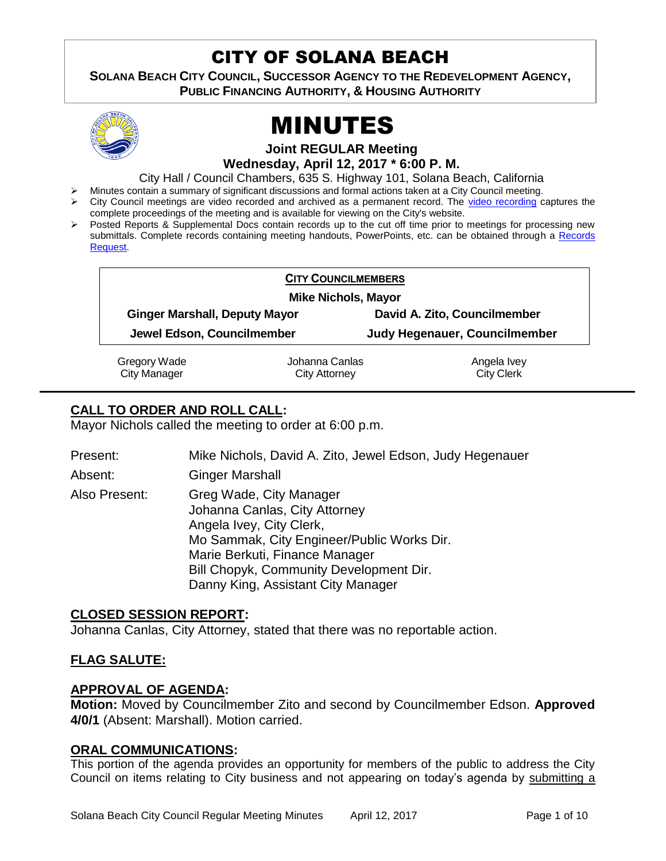## CITY OF SOLANA BEACH

**SOLANA BEACH CITY COUNCIL, SUCCESSOR AGENCY TO THE REDEVELOPMENT AGENCY, PUBLIC FINANCING AUTHORITY, & HOUSING AUTHORITY** 



# MINUTES

**Joint REGULAR Meeting**

**Wednesday, April 12, 2017 \* 6:00 P. M.** 

City Hall / Council Chambers, 635 S. Highway 101, Solana Beach, California

- Minutes contain a summary of significant discussions and formal actions taken at a City Council meeting.
- City Council meetings are video recorded and archived as a permanent record. The [video recording](https://solanabeach.12milesout.com/video/meeting/f2c15876-df33-44aa-b557-0ba74710fef4) captures the complete proceedings of the meeting and is available for viewing on the City's website.
- Posted Reports & Supplemental Docs contain records up to the cut off time prior to meetings for processing new submittals. Complete records containing meeting handouts, PowerPoints, etc. can be obtained through a Records [Request.](http://www.ci.solana-beach.ca.us/index.asp?SEC=F5D45D10-70CE-4291-A27C-7BD633FC6742&Type=B_BASIC)

|                                      | <b>CITY COUNCILMEMBERS</b>    |
|--------------------------------------|-------------------------------|
| <b>Mike Nichols, Mayor</b>           |                               |
| <b>Ginger Marshall, Deputy Mayor</b> | David A. Zito, Councilmember  |
| Jewel Edson, Councilmember           | Judy Hegenauer, Councilmember |

Gregory Wade City Manager

Johanna Canlas City Attorney

Angela Ivey City Clerk

## **CALL TO ORDER AND ROLL CALL:**

Mayor Nichols called the meeting to order at 6:00 p.m.

| Present:      | Mike Nichols, David A. Zito, Jewel Edson, Judy Hegenauer                                                                                                                                                                                              |
|---------------|-------------------------------------------------------------------------------------------------------------------------------------------------------------------------------------------------------------------------------------------------------|
| Absent:       | <b>Ginger Marshall</b>                                                                                                                                                                                                                                |
| Also Present: | Greg Wade, City Manager<br>Johanna Canlas, City Attorney<br>Angela Ivey, City Clerk,<br>Mo Sammak, City Engineer/Public Works Dir.<br>Marie Berkuti, Finance Manager<br>Bill Chopyk, Community Development Dir.<br>Danny King, Assistant City Manager |

## **CLOSED SESSION REPORT:**

Johanna Canlas, City Attorney, stated that there was no reportable action.

## **FLAG SALUTE:**

#### **APPROVAL OF AGENDA:**

**Motion:** Moved by Councilmember Zito and second by Councilmember Edson. **Approved 4/0/1** (Absent: Marshall). Motion carried.

#### **ORAL COMMUNICATIONS:**

This portion of the agenda provides an opportunity for members of the public to address the City Council on items relating to City business and not appearing on today's agenda by submitting a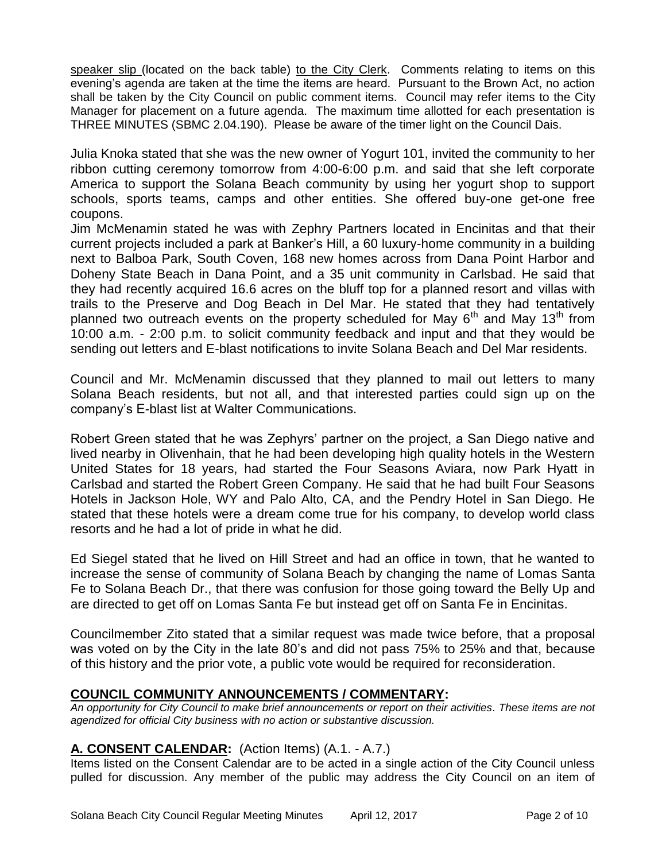speaker slip (located on the back table) to the City Clerk. Comments relating to items on this evening's agenda are taken at the time the items are heard. Pursuant to the Brown Act, no action shall be taken by the City Council on public comment items. Council may refer items to the City Manager for placement on a future agenda. The maximum time allotted for each presentation is THREE MINUTES (SBMC 2.04.190). Please be aware of the timer light on the Council Dais.

Julia Knoka stated that she was the new owner of Yogurt 101, invited the community to her ribbon cutting ceremony tomorrow from 4:00-6:00 p.m. and said that she left corporate America to support the Solana Beach community by using her yogurt shop to support schools, sports teams, camps and other entities. She offered buy-one get-one free coupons.

Jim McMenamin stated he was with Zephry Partners located in Encinitas and that their current projects included a park at Banker's Hill, a 60 luxury-home community in a building next to Balboa Park, South Coven, 168 new homes across from Dana Point Harbor and Doheny State Beach in Dana Point, and a 35 unit community in Carlsbad. He said that they had recently acquired 16.6 acres on the bluff top for a planned resort and villas with trails to the Preserve and Dog Beach in Del Mar. He stated that they had tentatively planned two outreach events on the property scheduled for May  $6<sup>th</sup>$  and May 13<sup>th</sup> from 10:00 a.m. - 2:00 p.m. to solicit community feedback and input and that they would be sending out letters and E-blast notifications to invite Solana Beach and Del Mar residents.

Council and Mr. McMenamin discussed that they planned to mail out letters to many Solana Beach residents, but not all, and that interested parties could sign up on the company's E-blast list at Walter Communications.

Robert Green stated that he was Zephyrs' partner on the project, a San Diego native and lived nearby in Olivenhain, that he had been developing high quality hotels in the Western United States for 18 years, had started the Four Seasons Aviara, now Park Hyatt in Carlsbad and started the Robert Green Company. He said that he had built Four Seasons Hotels in Jackson Hole, WY and Palo Alto, CA, and the Pendry Hotel in San Diego. He stated that these hotels were a dream come true for his company, to develop world class resorts and he had a lot of pride in what he did.

Ed Siegel stated that he lived on Hill Street and had an office in town, that he wanted to increase the sense of community of Solana Beach by changing the name of Lomas Santa Fe to Solana Beach Dr., that there was confusion for those going toward the Belly Up and are directed to get off on Lomas Santa Fe but instead get off on Santa Fe in Encinitas.

Councilmember Zito stated that a similar request was made twice before, that a proposal was voted on by the City in the late 80's and did not pass 75% to 25% and that, because of this history and the prior vote, a public vote would be required for reconsideration.

## **COUNCIL COMMUNITY ANNOUNCEMENTS / COMMENTARY:**

*An opportunity for City Council to make brief announcements or report on their activities. These items are not agendized for official City business with no action or substantive discussion.* 

## **A. CONSENT CALENDAR:** (Action Items) (A.1. - A.7.)

Items listed on the Consent Calendar are to be acted in a single action of the City Council unless pulled for discussion. Any member of the public may address the City Council on an item of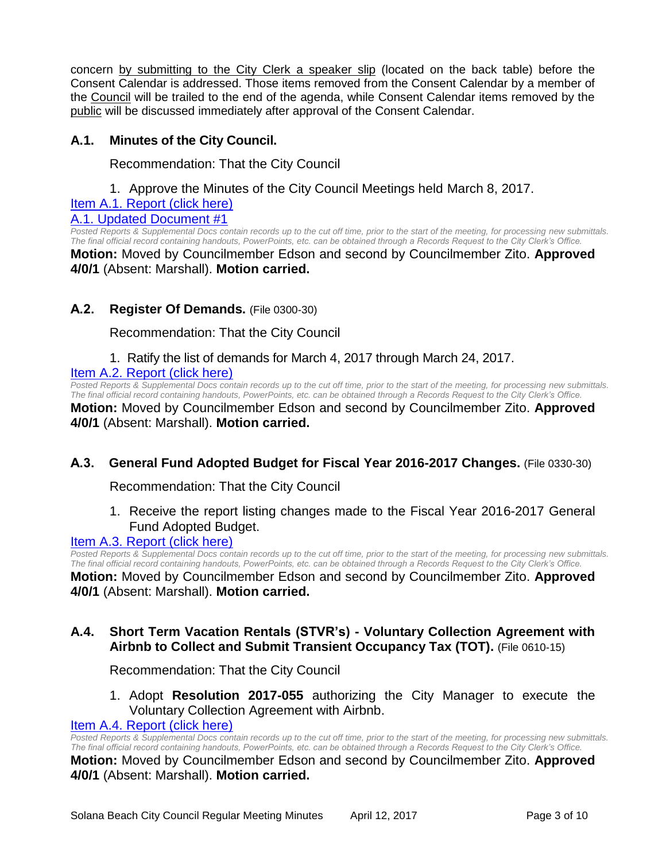concern by submitting to the City Clerk a speaker slip (located on the back table) before the Consent Calendar is addressed. Those items removed from the Consent Calendar by a member of the Council will be trailed to the end of the agenda, while Consent Calendar items removed by the public will be discussed immediately after approval of the Consent Calendar.

## **A.1. Minutes of the City Council.**

Recommendation: That the City Council

1. Approve the Minutes of the City Council Meetings held March 8, 2017.

[Item A.1. Report \(click here\)](https://solanabeach.govoffice3.com/vertical/Sites/%7B840804C2-F869-4904-9AE3-720581350CE7%7D/uploads/Item_A.1._Report_(Click_here)_4-12-17(1).PDF) [A.1. Updated Document #1](https://solanabeach.govoffice3.com/vertical/Sites/%7B840804C2-F869-4904-9AE3-720581350CE7%7D/uploads/A.1._Updated_Document_1.pdf)

*Posted Reports & Supplemental Docs contain records up to the cut off time, prior to the start of the meeting, for processing new submittals. The final official record containing handouts, PowerPoints, etc. can be obtained through a Records Request to the City Clerk's Office.* **Motion:** Moved by Councilmember Edson and second by Councilmember Zito. **Approved 4/0/1** (Absent: Marshall). **Motion carried.**

## **A.2. Register Of Demands.** (File 0300-30)

Recommendation: That the City Council

## 1. Ratify the list of demands for March 4, 2017 through March 24, 2017.

[Item A.2. Report \(click here\)](https://solanabeach.govoffice3.com/vertical/Sites/%7B840804C2-F869-4904-9AE3-720581350CE7%7D/uploads/Item_A.2._Report_(Click_here)_4-12-17.PDF)

*Posted Reports & Supplemental Docs contain records up to the cut off time, prior to the start of the meeting, for processing new submittals. The final official record containing handouts, PowerPoints, etc. can be obtained through a Records Request to the City Clerk's Office.*

**Motion:** Moved by Councilmember Edson and second by Councilmember Zito. **Approved 4/0/1** (Absent: Marshall). **Motion carried.**

## **A.3. General Fund Adopted Budget for Fiscal Year 2016-2017 Changes.** (File 0330-30)

Recommendation: That the City Council

1. Receive the report listing changes made to the Fiscal Year 2016-2017 General Fund Adopted Budget.

#### [Item A.3. Report \(click here\)](https://solanabeach.govoffice3.com/vertical/Sites/%7B840804C2-F869-4904-9AE3-720581350CE7%7D/uploads/Item_A.3._Report_(Click_here)_4-12-17.PDF)

*Posted Reports & Supplemental Docs contain records up to the cut off time, prior to the start of the meeting, for processing new submittals. The final official record containing handouts, PowerPoints, etc. can be obtained through a Records Request to the City Clerk's Office.*

**Motion:** Moved by Councilmember Edson and second by Councilmember Zito. **Approved 4/0/1** (Absent: Marshall). **Motion carried.**

## **A.4. Short Term Vacation Rentals (STVR's) - Voluntary Collection Agreement with Airbnb to Collect and Submit Transient Occupancy Tax (TOT).** (File 0610-15)

Recommendation: That the City Council

1. Adopt **Resolution 2017-055** authorizing the City Manager to execute the Voluntary Collection Agreement with Airbnb.

#### [Item A.4. Report \(click here\)](https://solanabeach.govoffice3.com/vertical/Sites/%7B840804C2-F869-4904-9AE3-720581350CE7%7D/uploads/Item_A.4._Report_(Click_here)_4-12-17.PDF)

*Posted Reports & Supplemental Docs contain records up to the cut off time, prior to the start of the meeting, for processing new submittals. The final official record containing handouts, PowerPoints, etc. can be obtained through a Records Request to the City Clerk's Office.* **Motion:** Moved by Councilmember Edson and second by Councilmember Zito. **Approved 4/0/1** (Absent: Marshall). **Motion carried.**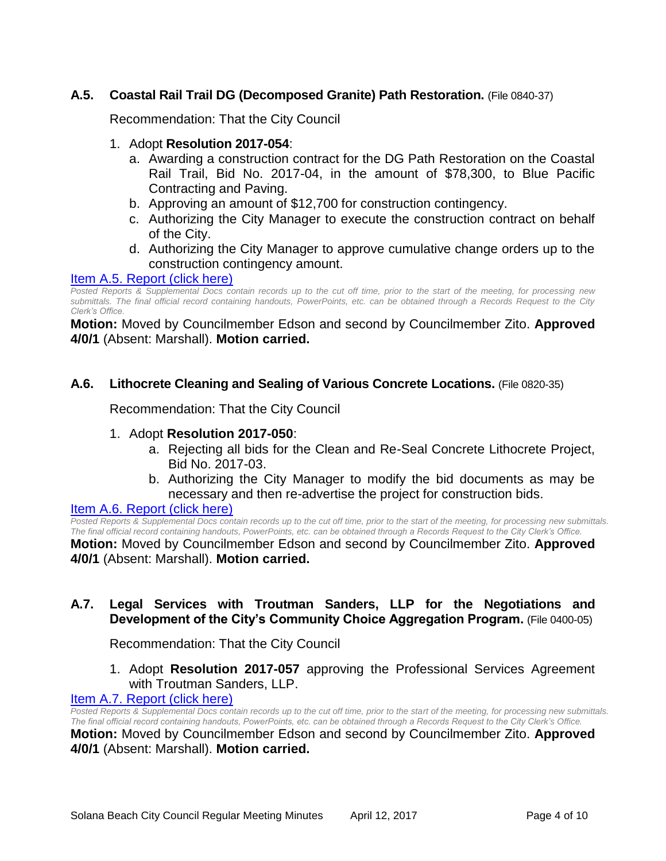## **A.5. Coastal Rail Trail DG (Decomposed Granite) Path Restoration.** (File 0840-37)

Recommendation: That the City Council

#### 1. Adopt **Resolution 2017-054**:

- a. Awarding a construction contract for the DG Path Restoration on the Coastal Rail Trail, Bid No. 2017-04, in the amount of \$78,300, to Blue Pacific Contracting and Paving.
- b. Approving an amount of \$12,700 for construction contingency.
- c. Authorizing the City Manager to execute the construction contract on behalf of the City.
- d. Authorizing the City Manager to approve cumulative change orders up to the construction contingency amount.

#### Item A.5. [Report \(click here\)](https://solanabeach.govoffice3.com/vertical/Sites/%7B840804C2-F869-4904-9AE3-720581350CE7%7D/uploads/Item_A.5._Report_(Click_here)_4-12-17.PDF)

*Posted Reports & Supplemental Docs contain records up to the cut off time, prior to the start of the meeting, for processing new submittals. The final official record containing handouts, PowerPoints, etc. can be obtained through a Records Request to the City Clerk's Office.*

**Motion:** Moved by Councilmember Edson and second by Councilmember Zito. **Approved 4/0/1** (Absent: Marshall). **Motion carried.**

#### **A.6. Lithocrete Cleaning and Sealing of Various Concrete Locations.** (File 0820-35)

Recommendation: That the City Council

#### 1. Adopt **Resolution 2017-050**:

- a. Rejecting all bids for the Clean and Re-Seal Concrete Lithocrete Project, Bid No. 2017-03.
- b. Authorizing the City Manager to modify the bid documents as may be necessary and then re-advertise the project for construction bids.

#### [Item A.6. Report \(click here\)](https://solanabeach.govoffice3.com/vertical/Sites/%7B840804C2-F869-4904-9AE3-720581350CE7%7D/uploads/Item_A.6._Report_(Click_here)_4-12-17.PDF)

*Posted Reports & Supplemental Docs contain records up to the cut off time, prior to the start of the meeting, for processing new submittals. The final official record containing handouts, PowerPoints, etc. can be obtained through a Records Request to the City Clerk's Office.*

**Motion:** Moved by Councilmember Edson and second by Councilmember Zito. **Approved 4/0/1** (Absent: Marshall). **Motion carried.**

## **A.7. Legal Services with Troutman Sanders, LLP for the Negotiations and Development of the City's Community Choice Aggregation Program.** (File 0400-05)

Recommendation: That the City Council

1. Adopt **Resolution 2017-057** approving the Professional Services Agreement with Troutman Sanders, LLP.

#### [Item A.7. Report \(click here\)](https://solanabeach.govoffice3.com/vertical/Sites/%7B840804C2-F869-4904-9AE3-720581350CE7%7D/uploads/Item_A.7._Report_(Click_here)_4-12-17.PDF)

*Posted Reports & Supplemental Docs contain records up to the cut off time, prior to the start of the meeting, for processing new submittals. The final official record containing handouts, PowerPoints, etc. can be obtained through a Records Request to the City Clerk's Office.*

**Motion:** Moved by Councilmember Edson and second by Councilmember Zito. **Approved 4/0/1** (Absent: Marshall). **Motion carried.**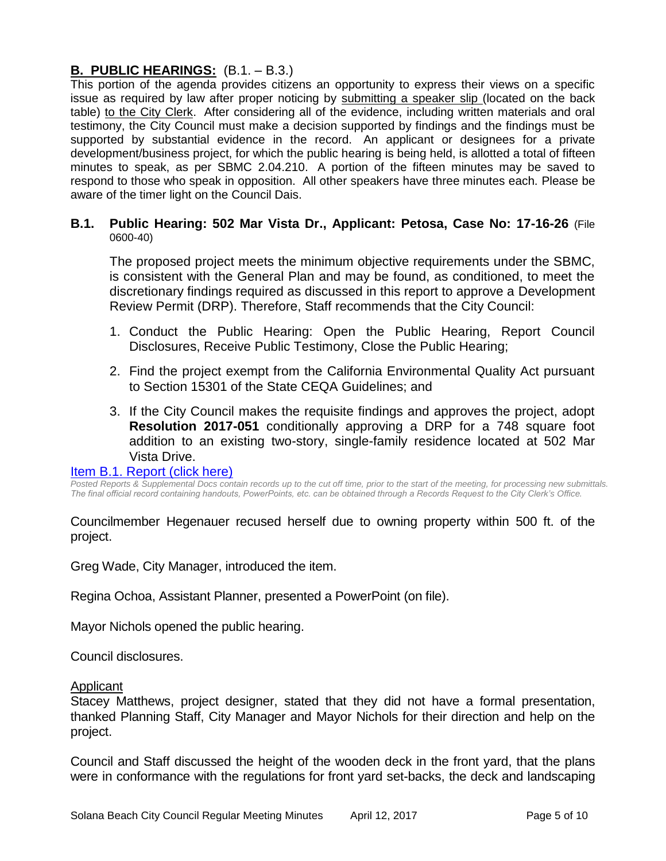## **B. PUBLIC HEARINGS:** (B.1. – B.3.)

This portion of the agenda provides citizens an opportunity to express their views on a specific issue as required by law after proper noticing by submitting a speaker slip (located on the back table) to the City Clerk. After considering all of the evidence, including written materials and oral testimony, the City Council must make a decision supported by findings and the findings must be supported by substantial evidence in the record. An applicant or designees for a private development/business project, for which the public hearing is being held, is allotted a total of fifteen minutes to speak, as per SBMC 2.04.210. A portion of the fifteen minutes may be saved to respond to those who speak in opposition. All other speakers have three minutes each. Please be aware of the timer light on the Council Dais.

#### **B.1. Public Hearing: 502 Mar Vista Dr., Applicant: Petosa, Case No: 17-16-26** (File 0600-40)

The proposed project meets the minimum objective requirements under the SBMC, is consistent with the General Plan and may be found, as conditioned, to meet the discretionary findings required as discussed in this report to approve a Development Review Permit (DRP). Therefore, Staff recommends that the City Council:

- 1. Conduct the Public Hearing: Open the Public Hearing, Report Council Disclosures, Receive Public Testimony, Close the Public Hearing;
- 2. Find the project exempt from the California Environmental Quality Act pursuant to Section 15301 of the State CEQA Guidelines; and
- 3. If the City Council makes the requisite findings and approves the project, adopt **Resolution 2017-051** conditionally approving a DRP for a 748 square foot addition to an existing two-story, single-family residence located at 502 Mar Vista Drive.

#### [Item B.1. Report \(click here\)](https://solanabeach.govoffice3.com/vertical/Sites/%7B840804C2-F869-4904-9AE3-720581350CE7%7D/uploads/Item_B.1._Report_(Click_here)_4-12-17.PDF)

*Posted Reports & Supplemental Docs contain records up to the cut off time, prior to the start of the meeting, for processing new submittals. The final official record containing handouts, PowerPoints, etc. can be obtained through a Records Request to the City Clerk's Office.*

Councilmember Hegenauer recused herself due to owning property within 500 ft. of the project.

Greg Wade, City Manager, introduced the item.

Regina Ochoa, Assistant Planner, presented a PowerPoint (on file).

Mayor Nichols opened the public hearing.

Council disclosures.

#### Applicant

Stacey Matthews, project designer, stated that they did not have a formal presentation, thanked Planning Staff, City Manager and Mayor Nichols for their direction and help on the project.

Council and Staff discussed the height of the wooden deck in the front yard, that the plans were in conformance with the regulations for front yard set-backs, the deck and landscaping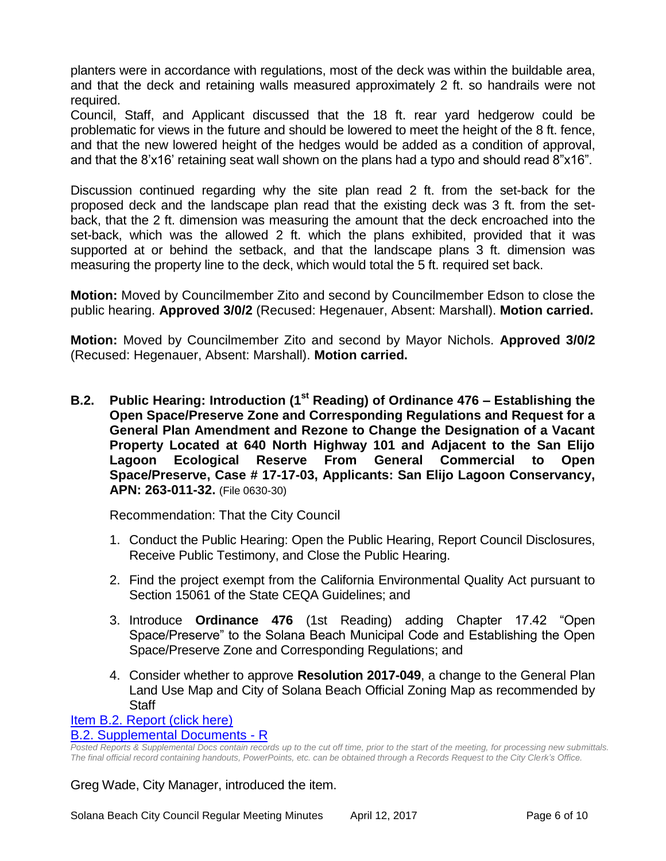planters were in accordance with regulations, most of the deck was within the buildable area, and that the deck and retaining walls measured approximately 2 ft. so handrails were not required.

Council, Staff, and Applicant discussed that the 18 ft. rear yard hedgerow could be problematic for views in the future and should be lowered to meet the height of the 8 ft. fence, and that the new lowered height of the hedges would be added as a condition of approval, and that the 8'x16' retaining seat wall shown on the plans had a typo and should read 8"x16".

Discussion continued regarding why the site plan read 2 ft. from the set-back for the proposed deck and the landscape plan read that the existing deck was 3 ft. from the setback, that the 2 ft. dimension was measuring the amount that the deck encroached into the set-back, which was the allowed 2 ft. which the plans exhibited, provided that it was supported at or behind the setback, and that the landscape plans 3 ft. dimension was measuring the property line to the deck, which would total the 5 ft. required set back.

**Motion:** Moved by Councilmember Zito and second by Councilmember Edson to close the public hearing. **Approved 3/0/2** (Recused: Hegenauer, Absent: Marshall). **Motion carried.**

**Motion:** Moved by Councilmember Zito and second by Mayor Nichols. **Approved 3/0/2** (Recused: Hegenauer, Absent: Marshall). **Motion carried.**

**B.2. Public Hearing: Introduction (1st Reading) of Ordinance 476 – Establishing the Open Space/Preserve Zone and Corresponding Regulations and Request for a General Plan Amendment and Rezone to Change the Designation of a Vacant Property Located at 640 North Highway 101 and Adjacent to the San Elijo Lagoon Ecological Reserve From General Commercial to Open Space/Preserve, Case # 17-17-03, Applicants: San Elijo Lagoon Conservancy, APN: 263-011-32.** (File 0630-30)

Recommendation: That the City Council

- 1. Conduct the Public Hearing: Open the Public Hearing, Report Council Disclosures, Receive Public Testimony, and Close the Public Hearing.
- 2. Find the project exempt from the California Environmental Quality Act pursuant to Section 15061 of the State CEQA Guidelines; and
- 3. Introduce **Ordinance 476** (1st Reading) adding Chapter 17.42 "Open Space/Preserve" to the Solana Beach Municipal Code and Establishing the Open Space/Preserve Zone and Corresponding Regulations; and
- 4. Consider whether to approve **Resolution 2017-049**, a change to the General Plan Land Use Map and City of Solana Beach Official Zoning Map as recommended by **Staff**

[Item B.2. Report \(click here\)](https://solanabeach.govoffice3.com/vertical/Sites/%7B840804C2-F869-4904-9AE3-720581350CE7%7D/uploads/Item_B.2._Report_(Click_here)_4-12-17.PDF)

## [B.2. Supplemental Documents -](https://solanabeach.govoffice3.com/vertical/Sites/%7B840804C2-F869-4904-9AE3-720581350CE7%7D/uploads/B.2._Supplemental_Documents_4-10-17_-_R.pdf) R

*Posted Reports & Supplemental Docs contain records up to the cut off time, prior to the start of the meeting, for processing new submittals. The final official record containing handouts, PowerPoints, etc. can be obtained through a Records Request to the City Clerk's Office.*

Greg Wade, City Manager, introduced the item.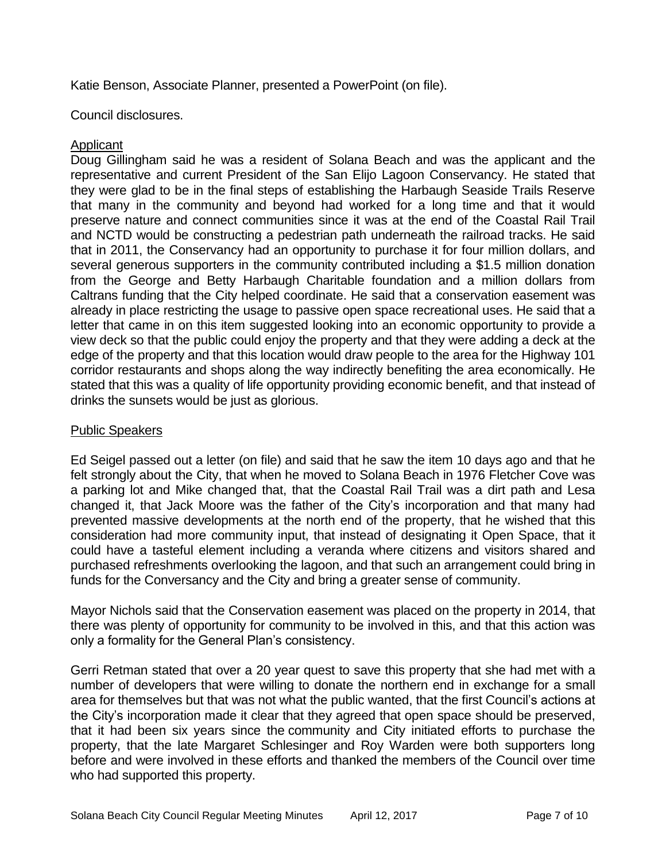Katie Benson, Associate Planner, presented a PowerPoint (on file).

Council disclosures.

## Applicant

Doug Gillingham said he was a resident of Solana Beach and was the applicant and the representative and current President of the San Elijo Lagoon Conservancy. He stated that they were glad to be in the final steps of establishing the Harbaugh Seaside Trails Reserve that many in the community and beyond had worked for a long time and that it would preserve nature and connect communities since it was at the end of the Coastal Rail Trail and NCTD would be constructing a pedestrian path underneath the railroad tracks. He said that in 2011, the Conservancy had an opportunity to purchase it for four million dollars, and several generous supporters in the community contributed including a \$1.5 million donation from the George and Betty Harbaugh Charitable foundation and a million dollars from Caltrans funding that the City helped coordinate. He said that a conservation easement was already in place restricting the usage to passive open space recreational uses. He said that a letter that came in on this item suggested looking into an economic opportunity to provide a view deck so that the public could enjoy the property and that they were adding a deck at the edge of the property and that this location would draw people to the area for the Highway 101 corridor restaurants and shops along the way indirectly benefiting the area economically. He stated that this was a quality of life opportunity providing economic benefit, and that instead of drinks the sunsets would be just as glorious.

## Public Speakers

Ed Seigel passed out a letter (on file) and said that he saw the item 10 days ago and that he felt strongly about the City, that when he moved to Solana Beach in 1976 Fletcher Cove was a parking lot and Mike changed that, that the Coastal Rail Trail was a dirt path and Lesa changed it, that Jack Moore was the father of the City's incorporation and that many had prevented massive developments at the north end of the property, that he wished that this consideration had more community input, that instead of designating it Open Space, that it could have a tasteful element including a veranda where citizens and visitors shared and purchased refreshments overlooking the lagoon, and that such an arrangement could bring in funds for the Conversancy and the City and bring a greater sense of community.

Mayor Nichols said that the Conservation easement was placed on the property in 2014, that there was plenty of opportunity for community to be involved in this, and that this action was only a formality for the General Plan's consistency.

Gerri Retman stated that over a 20 year quest to save this property that she had met with a number of developers that were willing to donate the northern end in exchange for a small area for themselves but that was not what the public wanted, that the first Council's actions at the City's incorporation made it clear that they agreed that open space should be preserved, that it had been six years since the community and City initiated efforts to purchase the property, that the late Margaret Schlesinger and Roy Warden were both supporters long before and were involved in these efforts and thanked the members of the Council over time who had supported this property.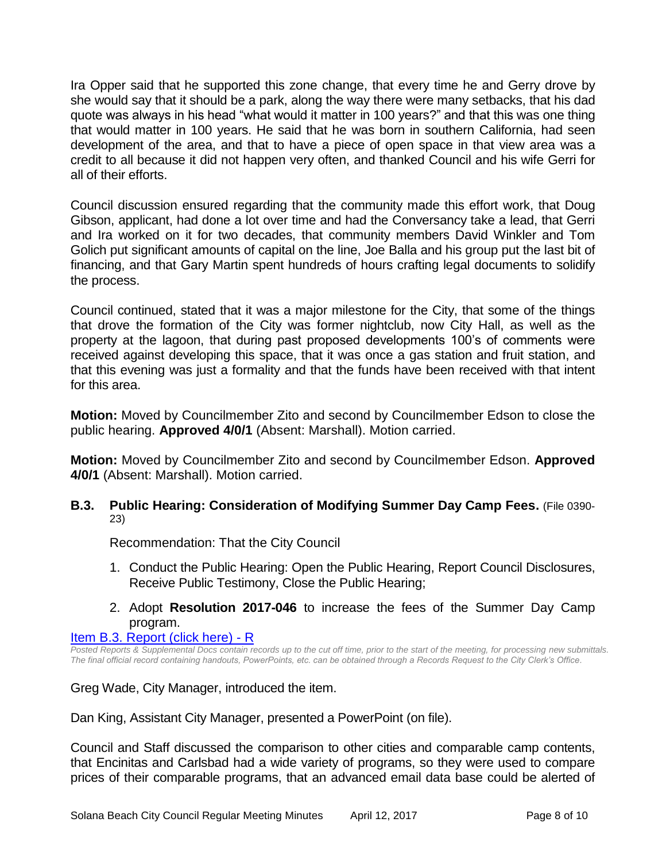Ira Opper said that he supported this zone change, that every time he and Gerry drove by she would say that it should be a park, along the way there were many setbacks, that his dad quote was always in his head "what would it matter in 100 years?" and that this was one thing that would matter in 100 years. He said that he was born in southern California, had seen development of the area, and that to have a piece of open space in that view area was a credit to all because it did not happen very often, and thanked Council and his wife Gerri for all of their efforts.

Council discussion ensured regarding that the community made this effort work, that Doug Gibson, applicant, had done a lot over time and had the Conversancy take a lead, that Gerri and Ira worked on it for two decades, that community members David Winkler and Tom Golich put significant amounts of capital on the line, Joe Balla and his group put the last bit of financing, and that Gary Martin spent hundreds of hours crafting legal documents to solidify the process.

Council continued, stated that it was a major milestone for the City, that some of the things that drove the formation of the City was former nightclub, now City Hall, as well as the property at the lagoon, that during past proposed developments 100's of comments were received against developing this space, that it was once a gas station and fruit station, and that this evening was just a formality and that the funds have been received with that intent for this area.

**Motion:** Moved by Councilmember Zito and second by Councilmember Edson to close the public hearing. **Approved 4/0/1** (Absent: Marshall). Motion carried.

**Motion:** Moved by Councilmember Zito and second by Councilmember Edson. **Approved 4/0/1** (Absent: Marshall). Motion carried.

**B.3. Public Hearing: Consideration of Modifying Summer Day Camp Fees.** (File 0390- 23)

Recommendation: That the City Council

- 1. Conduct the Public Hearing: Open the Public Hearing, Report Council Disclosures, Receive Public Testimony, Close the Public Hearing;
- 2. Adopt **Resolution 2017-046** to increase the fees of the Summer Day Camp program.

#### [Item B.3. Report \(click here\) -](https://solanabeach.govoffice3.com/vertical/Sites/%7B840804C2-F869-4904-9AE3-720581350CE7%7D/uploads/Item_B.3._Report_(Click_here)_4-12-17_-_R.pdf) R

*Posted Reports & Supplemental Docs contain records up to the cut off time, prior to the start of the meeting, for processing new submittals. The final official record containing handouts, PowerPoints, etc. can be obtained through a Records Request to the City Clerk's Office.*

Greg Wade, City Manager, introduced the item.

Dan King, Assistant City Manager, presented a PowerPoint (on file).

Council and Staff discussed the comparison to other cities and comparable camp contents, that Encinitas and Carlsbad had a wide variety of programs, so they were used to compare prices of their comparable programs, that an advanced email data base could be alerted of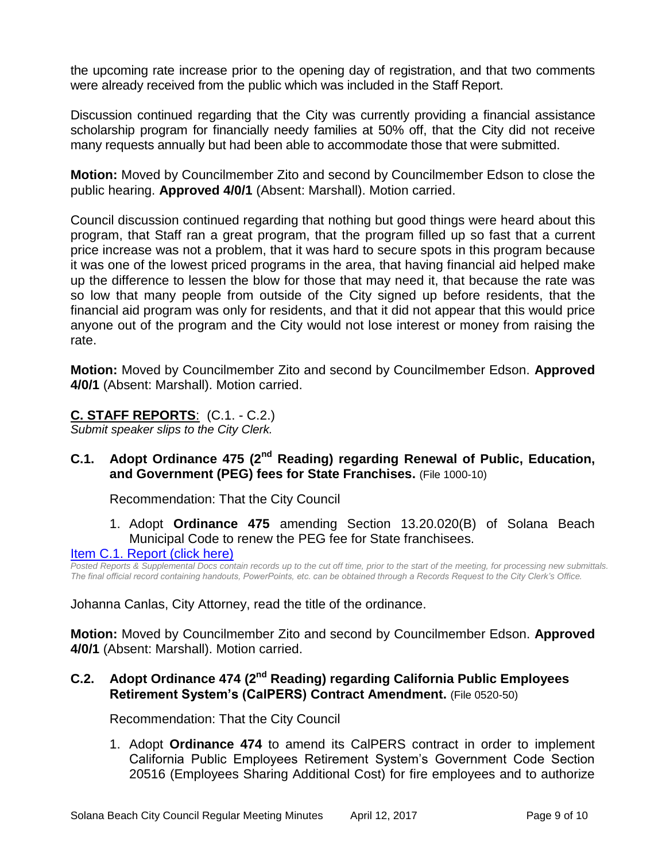the upcoming rate increase prior to the opening day of registration, and that two comments were already received from the public which was included in the Staff Report.

Discussion continued regarding that the City was currently providing a financial assistance scholarship program for financially needy families at 50% off, that the City did not receive many requests annually but had been able to accommodate those that were submitted.

**Motion:** Moved by Councilmember Zito and second by Councilmember Edson to close the public hearing. **Approved 4/0/1** (Absent: Marshall). Motion carried.

Council discussion continued regarding that nothing but good things were heard about this program, that Staff ran a great program, that the program filled up so fast that a current price increase was not a problem, that it was hard to secure spots in this program because it was one of the lowest priced programs in the area, that having financial aid helped make up the difference to lessen the blow for those that may need it, that because the rate was so low that many people from outside of the City signed up before residents, that the financial aid program was only for residents, and that it did not appear that this would price anyone out of the program and the City would not lose interest or money from raising the rate.

**Motion:** Moved by Councilmember Zito and second by Councilmember Edson. **Approved 4/0/1** (Absent: Marshall). Motion carried.

## **C. STAFF REPORTS**: (C.1. - C.2.)

*Submit speaker slips to the City Clerk.*

## **C.1. Adopt Ordinance 475 (2nd Reading) regarding Renewal of Public, Education, and Government (PEG) fees for State Franchises.** (File 1000-10)

Recommendation: That the City Council

1. Adopt **Ordinance 475** amending Section 13.20.020(B) of Solana Beach Municipal Code to renew the PEG fee for State franchisees.

## [Item C.1. Report \(click here\)](https://solanabeach.govoffice3.com/vertical/Sites/%7B840804C2-F869-4904-9AE3-720581350CE7%7D/uploads/Item_C.1._Report_(Click_here)_4-12-17.PDF)

*Posted Reports & Supplemental Docs contain records up to the cut off time, prior to the start of the meeting, for processing new submittals. The final official record containing handouts, PowerPoints, etc. can be obtained through a Records Request to the City Clerk's Office.*

Johanna Canlas, City Attorney, read the title of the ordinance.

**Motion:** Moved by Councilmember Zito and second by Councilmember Edson. **Approved 4/0/1** (Absent: Marshall). Motion carried.

## **C.2. Adopt Ordinance 474 (2nd Reading) regarding California Public Employees Retirement System's (CalPERS) Contract Amendment.** (File 0520-50)

Recommendation: That the City Council

1. Adopt **Ordinance 474** to amend its CalPERS contract in order to implement California Public Employees Retirement System's Government Code Section 20516 (Employees Sharing Additional Cost) for fire employees and to authorize